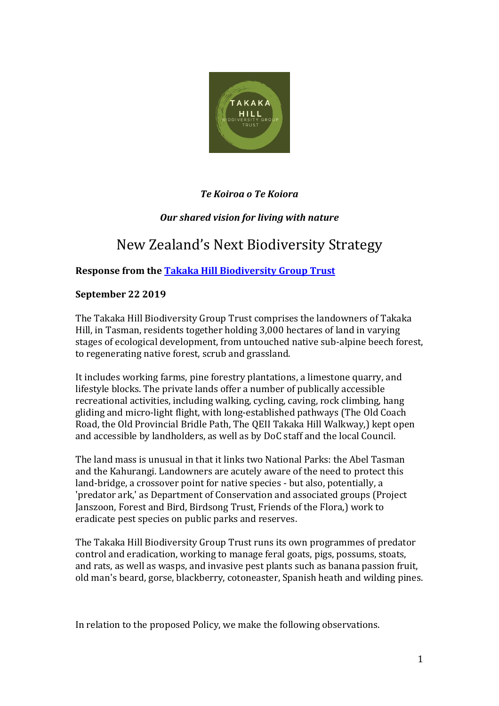

# *Te Koiroa o Te Koiora*

# *Our shared vision for living with nature*

# New Zealand's Next Biodiversity Strategy

## **Response from th[e Takaka Hill Biodiversity Group Trust](https://www.takakahillbiodiversitygroup.nz/)**

#### **September 22 2019**

The Takaka Hill Biodiversity Group Trust comprises the landowners of Takaka Hill, in Tasman, residents together holding 3,000 hectares of land in varying stages of ecological development, from untouched native sub-alpine beech forest, to regenerating native forest, scrub and grassland.

It includes working farms, pine forestry plantations, a limestone quarry, and lifestyle blocks. The private lands offer a number of publically accessible recreational activities, including walking, cycling, caving, rock climbing, hang gliding and micro-light flight, with long-established pathways (The Old Coach Road, the Old Provincial Bridle Path, The QEII Takaka Hill Walkway,) kept open and accessible by landholders, as well as by DoC staff and the local Council.

The land mass is unusual in that it links two National Parks: the Abel Tasman and the Kahurangi. Landowners are acutely aware of the need to protect this land-bridge, a crossover point for native species - but also, potentially, a 'predator ark,' as Department of Conservation and associated groups (Project Janszoon, Forest and Bird, Birdsong Trust, Friends of the Flora,) work to eradicate pest species on public parks and reserves.

The Takaka Hill Biodiversity Group Trust runs its own programmes of predator control and eradication, working to manage feral goats, pigs, possums, stoats, and rats, as well as wasps, and invasive pest plants such as banana passion fruit, old man's beard, gorse, blackberry, cotoneaster, Spanish heath and wilding pines.

In relation to the proposed Policy, we make the following observations.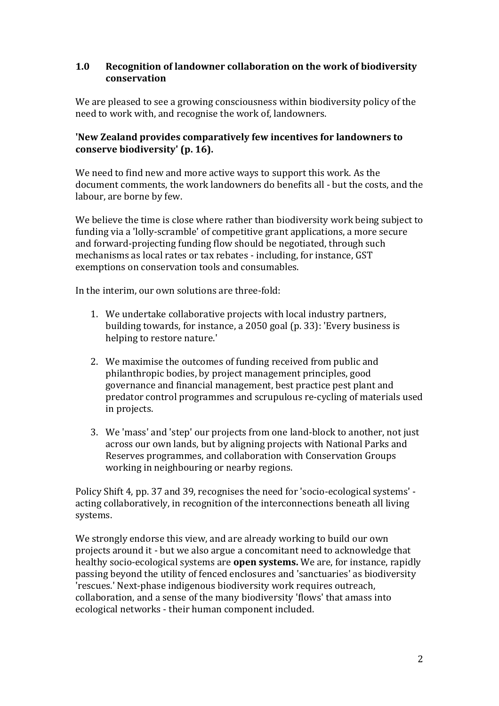## **1.0 Recognition of landowner collaboration on the work of biodiversity conservation**

We are pleased to see a growing consciousness within biodiversity policy of the need to work with, and recognise the work of, landowners.

## **'New Zealand provides comparatively few incentives for landowners to conserve biodiversity' (p. 16).**

We need to find new and more active ways to support this work. As the document comments, the work landowners do benefits all - but the costs, and the labour, are borne by few.

We believe the time is close where rather than biodiversity work being subject to funding via a 'lolly-scramble' of competitive grant applications, a more secure and forward-projecting funding flow should be negotiated, through such mechanisms as local rates or tax rebates - including, for instance, GST exemptions on conservation tools and consumables.

In the interim, our own solutions are three-fold:

- 1. We undertake collaborative projects with local industry partners, building towards, for instance, a 2050 goal (p. 33): 'Every business is helping to restore nature.'
- 2. We maximise the outcomes of funding received from public and philanthropic bodies, by project management principles, good governance and financial management, best practice pest plant and predator control programmes and scrupulous re-cycling of materials used in projects.
- 3. We 'mass' and 'step' our projects from one land-block to another, not just across our own lands, but by aligning projects with National Parks and Reserves programmes, and collaboration with Conservation Groups working in neighbouring or nearby regions.

Policy Shift 4, pp. 37 and 39, recognises the need for 'socio-ecological systems' acting collaboratively, in recognition of the interconnections beneath all living systems.

We strongly endorse this view, and are already working to build our own projects around it - but we also argue a concomitant need to acknowledge that healthy socio-ecological systems are **open systems.** We are, for instance, rapidly passing beyond the utility of fenced enclosures and 'sanctuaries' as biodiversity 'rescues.' Next-phase indigenous biodiversity work requires outreach, collaboration, and a sense of the many biodiversity 'flows' that amass into ecological networks - their human component included.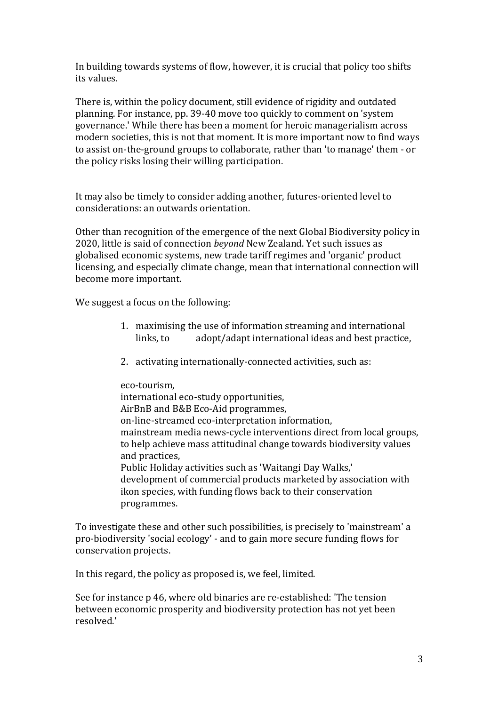In building towards systems of flow, however, it is crucial that policy too shifts its values.

There is, within the policy document, still evidence of rigidity and outdated planning. For instance, pp. 39-40 move too quickly to comment on 'system governance.' While there has been a moment for heroic managerialism across modern societies, this is not that moment. It is more important now to find ways to assist on-the-ground groups to collaborate, rather than 'to manage' them - or the policy risks losing their willing participation.

It may also be timely to consider adding another, futures-oriented level to considerations: an outwards orientation.

Other than recognition of the emergence of the next Global Biodiversity policy in 2020, little is said of connection *beyond* New Zealand. Yet such issues as globalised economic systems, new trade tariff regimes and 'organic' product licensing, and especially climate change, mean that international connection will become more important.

We suggest a focus on the following:

- 1. maximising the use of information streaming and international links, to adopt/adapt international ideas and best practice,
- 2. activating internationally-connected activities, such as:

eco-tourism, international eco-study opportunities, AirBnB and B&B Eco-Aid programmes, on-line-streamed eco-interpretation information, mainstream media news-cycle interventions direct from local groups, to help achieve mass attitudinal change towards biodiversity values and practices, Public Holiday activities such as 'Waitangi Day Walks,' development of commercial products marketed by association with ikon species, with funding flows back to their conservation programmes.

To investigate these and other such possibilities, is precisely to 'mainstream' a pro-biodiversity 'social ecology' - and to gain more secure funding flows for conservation projects.

In this regard, the policy as proposed is, we feel, limited.

See for instance p 46, where old binaries are re-established: 'The tension between economic prosperity and biodiversity protection has not yet been resolved.'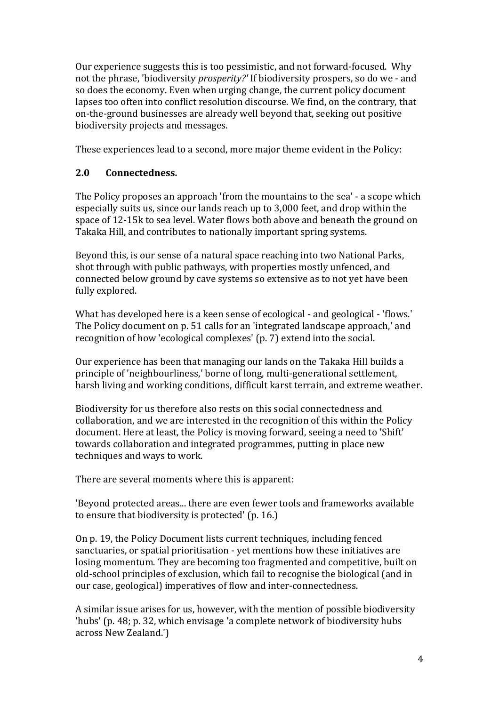Our experience suggests this is too pessimistic, and not forward-focused. Why not the phrase, 'biodiversity *prosperity?'* If biodiversity prospers, so do we - and so does the economy. Even when urging change, the current policy document lapses too often into conflict resolution discourse. We find, on the contrary, that on-the-ground businesses are already well beyond that, seeking out positive biodiversity projects and messages.

These experiences lead to a second, more major theme evident in the Policy:

## **2.0 Connectedness.**

The Policy proposes an approach 'from the mountains to the sea' - a scope which especially suits us, since our lands reach up to 3,000 feet, and drop within the space of 12-15k to sea level. Water flows both above and beneath the ground on Takaka Hill, and contributes to nationally important spring systems.

Beyond this, is our sense of a natural space reaching into two National Parks, shot through with public pathways, with properties mostly unfenced, and connected below ground by cave systems so extensive as to not yet have been fully explored.

What has developed here is a keen sense of ecological - and geological - 'flows.' The Policy document on p. 51 calls for an 'integrated landscape approach,' and recognition of how 'ecological complexes' (p. 7) extend into the social.

Our experience has been that managing our lands on the Takaka Hill builds a principle of 'neighbourliness,' borne of long, multi-generational settlement, harsh living and working conditions, difficult karst terrain, and extreme weather.

Biodiversity for us therefore also rests on this social connectedness and collaboration, and we are interested in the recognition of this within the Policy document. Here at least, the Policy is moving forward, seeing a need to 'Shift' towards collaboration and integrated programmes, putting in place new techniques and ways to work.

There are several moments where this is apparent:

'Beyond protected areas... there are even fewer tools and frameworks available to ensure that biodiversity is protected' (p. 16.)

On p. 19, the Policy Document lists current techniques, including fenced sanctuaries, or spatial prioritisation - yet mentions how these initiatives are losing momentum. They are becoming too fragmented and competitive, built on old-school principles of exclusion, which fail to recognise the biological (and in our case, geological) imperatives of flow and inter-connectedness.

A similar issue arises for us, however, with the mention of possible biodiversity 'hubs' (p. 48; p. 32, which envisage 'a complete network of biodiversity hubs across New Zealand.')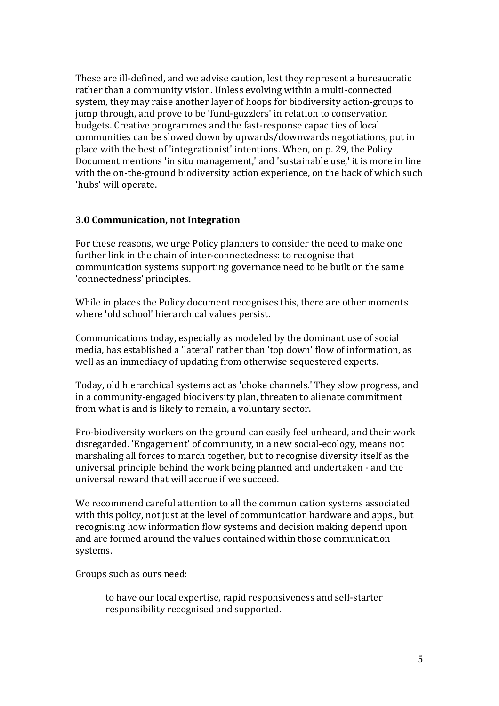These are ill-defined, and we advise caution, lest they represent a bureaucratic rather than a community vision. Unless evolving within a multi-connected system, they may raise another layer of hoops for biodiversity action-groups to jump through, and prove to be 'fund-guzzlers' in relation to conservation budgets. Creative programmes and the fast-response capacities of local communities can be slowed down by upwards/downwards negotiations, put in place with the best of 'integrationist' intentions. When, on p. 29, the Policy Document mentions 'in situ management,' and 'sustainable use,' it is more in line with the on-the-ground biodiversity action experience, on the back of which such 'hubs' will operate.

#### **3.0 Communication, not Integration**

For these reasons, we urge Policy planners to consider the need to make one further link in the chain of inter-connectedness: to recognise that communication systems supporting governance need to be built on the same 'connectedness' principles.

While in places the Policy document recognises this, there are other moments where 'old school' hierarchical values persist.

Communications today, especially as modeled by the dominant use of social media, has established a 'lateral' rather than 'top down' flow of information, as well as an immediacy of updating from otherwise sequestered experts.

Today, old hierarchical systems act as 'choke channels.' They slow progress, and in a community-engaged biodiversity plan, threaten to alienate commitment from what is and is likely to remain, a voluntary sector.

Pro-biodiversity workers on the ground can easily feel unheard, and their work disregarded. 'Engagement' of community, in a new social-ecology, means not marshaling all forces to march together, but to recognise diversity itself as the universal principle behind the work being planned and undertaken - and the universal reward that will accrue if we succeed.

We recommend careful attention to all the communication systems associated with this policy, not just at the level of communication hardware and apps., but recognising how information flow systems and decision making depend upon and are formed around the values contained within those communication systems.

Groups such as ours need:

to have our local expertise, rapid responsiveness and self-starter responsibility recognised and supported.